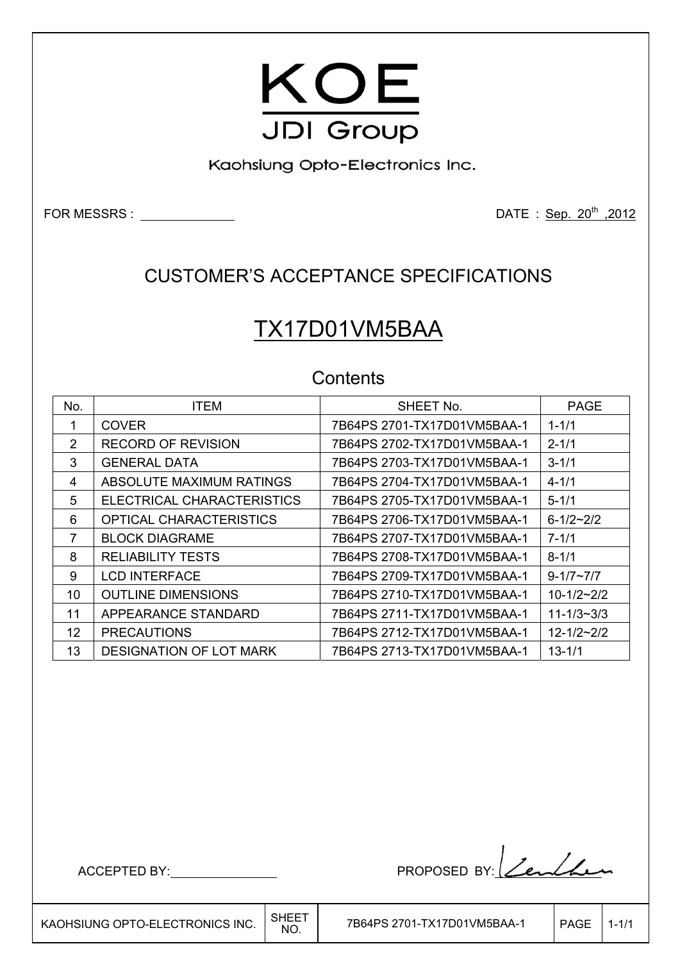

Kaohsiung Opto-Electronics Inc.

FOR MESSRS : DATE : Sep. 20th ,2012

## CUSTOMER'S ACCEPTANCE SPECIFICATIONS

# TX17D01VM5BAA

### **Contents**

| No.           | <b>ITEM</b>                    | SHEET No.                   | <b>PAGE</b>        |
|---------------|--------------------------------|-----------------------------|--------------------|
| 1             | <b>COVER</b>                   | 7B64PS 2701-TX17D01VM5BAA-1 | $1 - 1/1$          |
| $\mathcal{P}$ | <b>RECORD OF REVISION</b>      |                             | $2 - 1/1$          |
| 3             | <b>GENERAL DATA</b>            |                             | $3 - 1/1$          |
| 4             | ABSOLUTE MAXIMUM RATINGS       |                             | $4 - 1/1$          |
| 5             | ELECTRICAL CHARACTERISTICS     | 7B64PS 2705-TX17D01VM5BAA-1 | $5 - 1/1$          |
| 6             | <b>OPTICAL CHARACTERISTICS</b> | 7B64PS 2706-TX17D01VM5BAA-1 | $6 - 1/2 - 2/2$    |
| 7             | <b>BLOCK DIAGRAME</b>          |                             | $7 - 1/1$          |
| 8             | <b>RELIABILITY TESTS</b>       |                             | $8 - 1/1$          |
| 9             | <b>LCD INTERFACE</b>           | 7B64PS 2709-TX17D01VM5BAA-1 | $9 - 1/7 \sim 7/7$ |
| 10            | <b>OUTLINE DIMENSIONS</b>      | 7B64PS 2710-TX17D01VM5BAA-1 | $10 - 1/2 - 2/2$   |
| 11            | APPEARANCE STANDARD            |                             | $11 - 1/3 - 3/3$   |
| 12            | <b>PRECAUTIONS</b>             | 7B64PS 2712-TX17D01VM5BAA-1 | $12 - 1/2 - 2/2$   |
| 13            | DESIGNATION OF LOT MARK        |                             | $13 - 1/1$         |

Г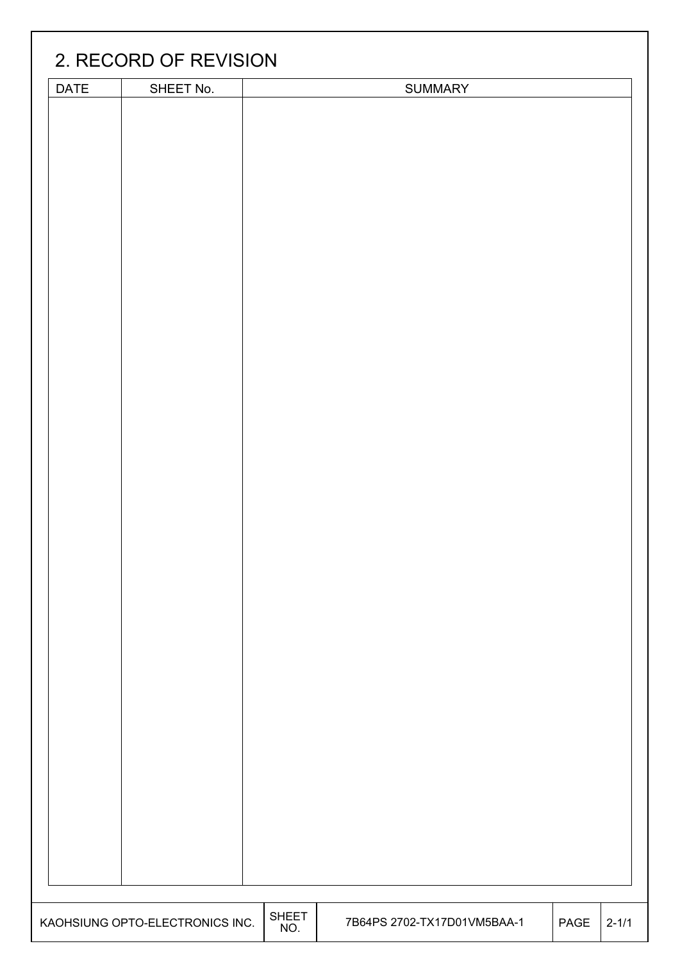| DATE | SHEET No. | SUMMARY |  |
|------|-----------|---------|--|
|      |           |         |  |
|      |           |         |  |
|      |           |         |  |
|      |           |         |  |
|      |           |         |  |
|      |           |         |  |
|      |           |         |  |
|      |           |         |  |
|      |           |         |  |
|      |           |         |  |
|      |           |         |  |
|      |           |         |  |
|      |           |         |  |
|      |           |         |  |
|      |           |         |  |
|      |           |         |  |
|      |           |         |  |
|      |           |         |  |
|      |           |         |  |
|      |           |         |  |
|      |           |         |  |
|      |           |         |  |
|      |           |         |  |
|      |           |         |  |
|      |           |         |  |
|      |           |         |  |
|      |           |         |  |
|      |           |         |  |
|      |           |         |  |
|      |           |         |  |
|      |           |         |  |
|      |           |         |  |
|      |           |         |  |
|      |           |         |  |
|      |           |         |  |
|      |           |         |  |
|      |           |         |  |
|      |           |         |  |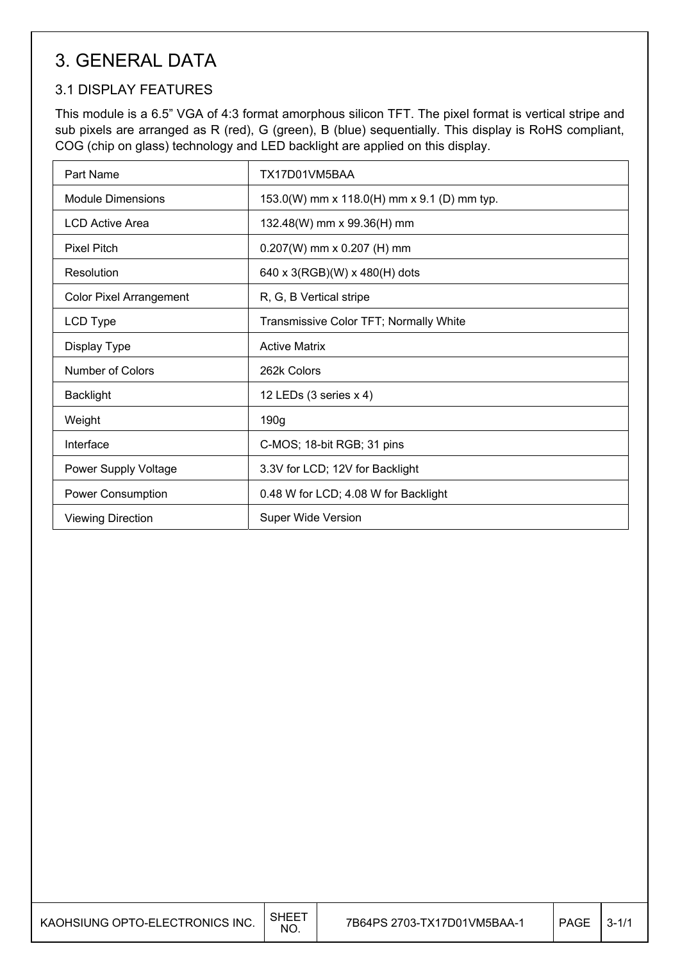## 3. GENERAL DATA

### 3.1 DISPLAY FEATURES

This module is a 6.5" VGA of 4:3 format amorphous silicon TFT. The pixel format is vertical stripe and sub pixels are arranged as R (red), G (green), B (blue) sequentially. This display is RoHS compliant, COG (chip on glass) technology and LED backlight are applied on this display.

| Part Name                      | TX17D01VM5BAA                               |
|--------------------------------|---------------------------------------------|
| Module Dimensions              | 153.0(W) mm x 118.0(H) mm x 9.1 (D) mm typ. |
| <b>LCD Active Area</b>         | 132.48(W) mm x 99.36(H) mm                  |
| <b>Pixel Pitch</b>             | $0.207(W)$ mm x 0.207 (H) mm                |
| Resolution                     | 640 x 3(RGB)(W) x 480(H) dots               |
| <b>Color Pixel Arrangement</b> | R, G, B Vertical stripe                     |
| LCD Type                       | Transmissive Color TFT; Normally White      |
| Display Type                   | <b>Active Matrix</b>                        |
| Number of Colors               | 262k Colors                                 |
| <b>Backlight</b>               | 12 LEDs (3 series x 4)                      |
| Weight                         | 190g                                        |
| Interface                      | C-MOS; 18-bit RGB; 31 pins                  |
| Power Supply Voltage           | 3.3V for LCD; 12V for Backlight             |
| <b>Power Consumption</b>       | 0.48 W for LCD; 4.08 W for Backlight        |
| <b>Viewing Direction</b>       | <b>Super Wide Version</b>                   |

| KAOHSIUNG OPTO-ELECTRONICS INC. | SHEE <sup>-</sup><br><b>NO</b> | 7B64PS 2703-TX17D01VM5BAA-1 | PAGE | $3 - 1/1$ |
|---------------------------------|--------------------------------|-----------------------------|------|-----------|
|---------------------------------|--------------------------------|-----------------------------|------|-----------|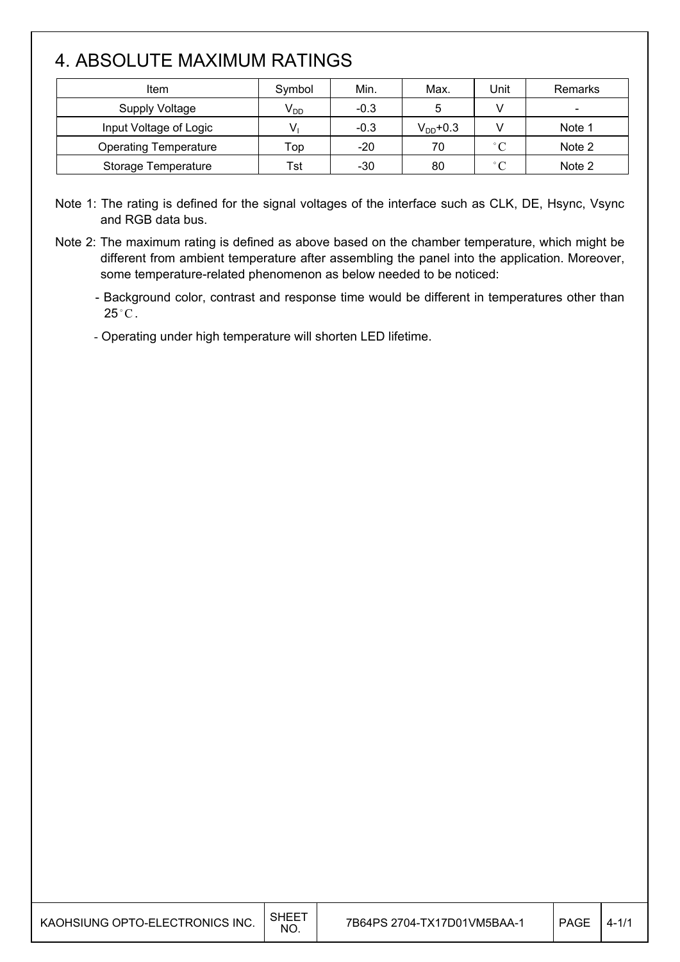## 4. ABSOLUTE MAXIMUM RATINGS

| Item                         | Symbol                     | Min.   | Max.          | Jnit              | Remarks |
|------------------------------|----------------------------|--------|---------------|-------------------|---------|
| Supply Voltage               | $\mathsf{V}_{\mathsf{DD}}$ | $-0.3$ | 5             |                   |         |
| Input Voltage of Logic       | V                          | $-0.3$ | $V_{DD}$ +0.3 |                   | Note 1  |
| <b>Operating Temperature</b> | Top                        | $-20$  | 70            | $\degree$ C       | Note 2  |
| <b>Storage Temperature</b>   | Tst                        | $-30$  | 80            | $^{\circ}$ $\cap$ | Note 2  |

Note 1: The rating is defined for the signal voltages of the interface such as CLK, DE, Hsync, Vsync and RGB data bus.

Note 2: The maximum rating is defined as above based on the chamber temperature, which might be different from ambient temperature after assembling the panel into the application. Moreover, some temperature-related phenomenon as below needed to be noticed:

- Background color, contrast and response time would be different in temperatures other than  $25^{\circ}$ C.

- Operating under high temperature will shorten LED lifetime.

| KAOHSIUNG OPTO-ELECTRONICS INC. | <b>SHEET</b><br>NO. | 7B64PS 2704-TX17D01VM5BAA-1 | <b>PAGE</b> | . 4 - 1 |
|---------------------------------|---------------------|-----------------------------|-------------|---------|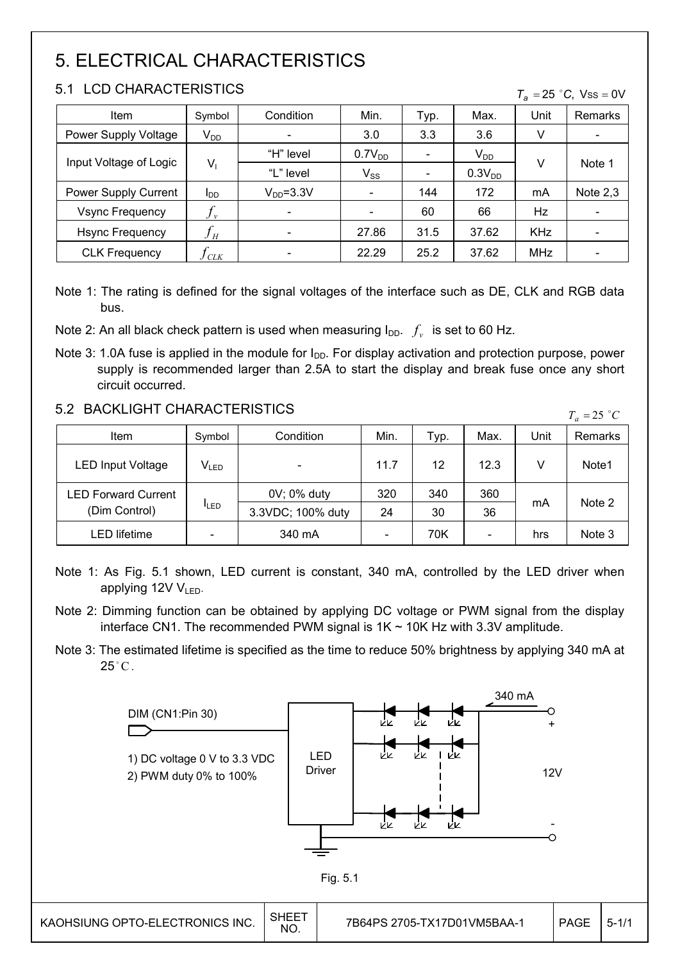## 5. ELECTRICAL CHARACTERISTICS

### 5.1 LCD CHARACTERISTICS

| Item                   | Symbol            | Condition       | Min.               | Typ. | Max.               | Unit       | Remarks                  |
|------------------------|-------------------|-----------------|--------------------|------|--------------------|------------|--------------------------|
| Power Supply Voltage   | $V_{DD}$          |                 | 3.0                | 3.3  | 3.6                | V          | $\overline{\phantom{a}}$ |
| Input Voltage of Logic |                   | "H" level       | 0.7V <sub>DD</sub> |      | $V_{DD}$           |            | Note 1                   |
|                        | V <sub>I</sub>    | "L" level       | $V_{SS}$           |      | 0.3V <sub>DD</sub> | v          |                          |
| Power Supply Current   | l <sub>DD</sub>   | $V_{DD} = 3.3V$ |                    | 144  | 172                | mA         | Note $2,3$               |
| <b>Vsync Frequency</b> | $J_{v}$           |                 |                    | 60   | 66                 | Hz         |                          |
| <b>Hsync Frequency</b> | ${\mathcal{J}}_H$ |                 | 27.86              | 31.5 | 37.62              | <b>KHz</b> |                          |
| <b>CLK Frequency</b>   | $J_{CLK}$         |                 | 22.29              | 25.2 | 37.62              | <b>MHz</b> |                          |

 $T_e = 25$  °C, Vss = 0V

Note 1: The rating is defined for the signal voltages of the interface such as DE, CLK and RGB data bus.

Note 2: An all black check pattern is used when measuring  $I_{DD}$ .  $f_{v}$  is set to 60 Hz.

Note 3: 1.0A fuse is applied in the module for  $I_{DD}$ . For display activation and protection purpose, power supply is recommended larger than 2.5A to start the display and break fuse once any short circuit occurred.

### 5.2 BACKLIGHT CHARACTERISTICS

| 3.2 DAUNLIUMT UMARAUTERISTIUS |           |                   |      |      |                          | $T_a = 25$ °C |                   |
|-------------------------------|-----------|-------------------|------|------|--------------------------|---------------|-------------------|
| Item                          | Symbol    | Condition         | Min. | Typ. | Max.                     | Unit          | Remarks           |
| <b>LED Input Voltage</b>      | $V_{LED}$ |                   | 11.7 | 12   | 12.3                     | V             | Note <sub>1</sub> |
| <b>LED Forward Current</b>    |           | 0V; 0% duty       | 320  | 340  | 360                      |               |                   |
| <b>ILED</b><br>(Dim Control)  |           | 3.3VDC; 100% duty | 24   | 30   | 36                       | mA            | Note 2            |
| <b>LED lifetime</b>           |           | 340 mA            |      | 70K  | $\overline{\phantom{a}}$ | hrs           | Note 3            |

Note 1: As Fig. 5.1 shown, LED current is constant, 340 mA, controlled by the LED driver when applying  $12V V_{LED}$ .

Note 2: Dimming function can be obtained by applying DC voltage or PWM signal from the display interface CN1. The recommended PWM signal is  $1K \sim 10K$  Hz with 3.3V amplitude.

Note 3: The estimated lifetime is specified as the time to reduce 50% brightness by applying 340 mA at  $25^{\circ}$ C.

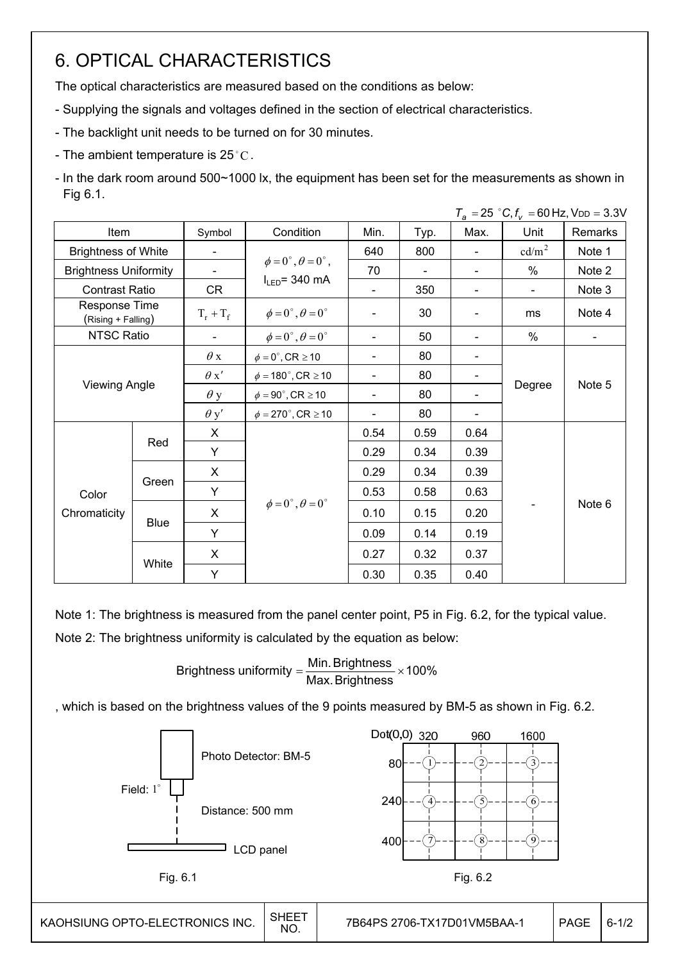## 6. OPTICAL CHARACTERISTICS

The optical characteristics are measured based on the conditions as below:

- Supplying the signals and voltages defined in the section of electrical characteristics.
- The backlight unit needs to be turned on for 30 minutes.
- The ambient temperature is 25 °C.
- In the dark room around 500~1000 lx, the equipment has been set for the measurements as shown in Fig 6.1.

*Ta* 25 *C*,*fv* 60 Hz, VDD 3.3V \$

|                                                            |             |                          |                                          |      |      |                          | $I_a = 20$ C, $I_v = 00$ HZ, VDD = 0.0V |                          |
|------------------------------------------------------------|-------------|--------------------------|------------------------------------------|------|------|--------------------------|-----------------------------------------|--------------------------|
| Item                                                       |             | Symbol                   | Condition                                | Min. | Typ. | Max.                     | Unit                                    | Remarks                  |
| <b>Brightness of White</b><br><b>Brightness Uniformity</b> |             |                          |                                          | 640  | 800  | $\overline{\phantom{a}}$ | cd/m <sup>2</sup>                       | Note 1                   |
|                                                            |             |                          | $\phi = 0^{\circ}, \theta = 0^{\circ}$ , | 70   |      |                          | $\%$                                    | Note 2                   |
| <b>Contrast Ratio</b>                                      |             | CR                       | $I_{LED}$ = 340 mA                       |      | 350  | $\overline{\phantom{0}}$ | $\blacksquare$                          | Note 3                   |
| Response Time<br>(Rising + Falling)                        |             | $T_r + T_f$              | $\phi = 0^{\circ}, \theta = 0^{\circ}$   |      | 30   | $\overline{\phantom{a}}$ | ms                                      | Note 4                   |
| NTSC Ratio                                                 |             | $\overline{\phantom{a}}$ | $\phi = 0^{\circ}, \theta = 0^{\circ}$   |      | 50   | $\overline{\phantom{a}}$ | %                                       | $\overline{\phantom{a}}$ |
|                                                            |             | $\theta$ x               | $\phi = 0^\circ$ , CR $\geq 10$          |      | 80   | $\overline{\phantom{a}}$ |                                         |                          |
|                                                            |             | $\theta x'$              | $\phi = 180^\circ$ , CR $\geq 10$        |      | 80   | $\overline{\phantom{a}}$ |                                         |                          |
| <b>Viewing Angle</b>                                       |             | $\theta$ y               | $\phi = 90^\circ$ , CR $\geq 10$         |      | 80   |                          | Degree                                  | Note 5                   |
|                                                            |             | $\theta$ y'              | $\phi = 270^\circ$ , CR $\geq 10$        |      | 80   | $\overline{\phantom{a}}$ |                                         |                          |
|                                                            |             | X                        |                                          | 0.54 | 0.59 | 0.64                     |                                         |                          |
|                                                            | Red         | Y                        |                                          | 0.29 | 0.34 | 0.39                     |                                         |                          |
|                                                            |             | X                        |                                          | 0.29 | 0.34 | 0.39                     |                                         |                          |
| Color                                                      | Green       | Y                        |                                          | 0.53 | 0.58 | 0.63                     |                                         |                          |
| Chromaticity                                               |             | X                        | $\phi = 0^{\circ}, \theta = 0^{\circ}$   | 0.10 | 0.15 | 0.20                     |                                         | Note 6                   |
|                                                            | <b>Blue</b> | Y                        |                                          | 0.09 | 0.14 | 0.19                     |                                         |                          |
|                                                            |             | X                        |                                          | 0.27 | 0.32 | 0.37                     |                                         |                          |
|                                                            | White       | Y                        |                                          | 0.30 | 0.35 | 0.40                     |                                         |                          |

Note 1: The brightness is measured from the panel center point, P5 in Fig. 6.2, for the typical value. Note 2: The brightness uniformity is calculated by the equation as below:

Brightness uniformity  $=\frac{1}{100}$  and  $\frac{1}{100}$  x 100% Max.Brightness Brightness uniformity =  $\frac{\text{Min.~Brightness}}{\text{max.~S}}$ 

, which is based on the brightness values of the 9 points measured by BM-5 as shown in Fig. 6.2.

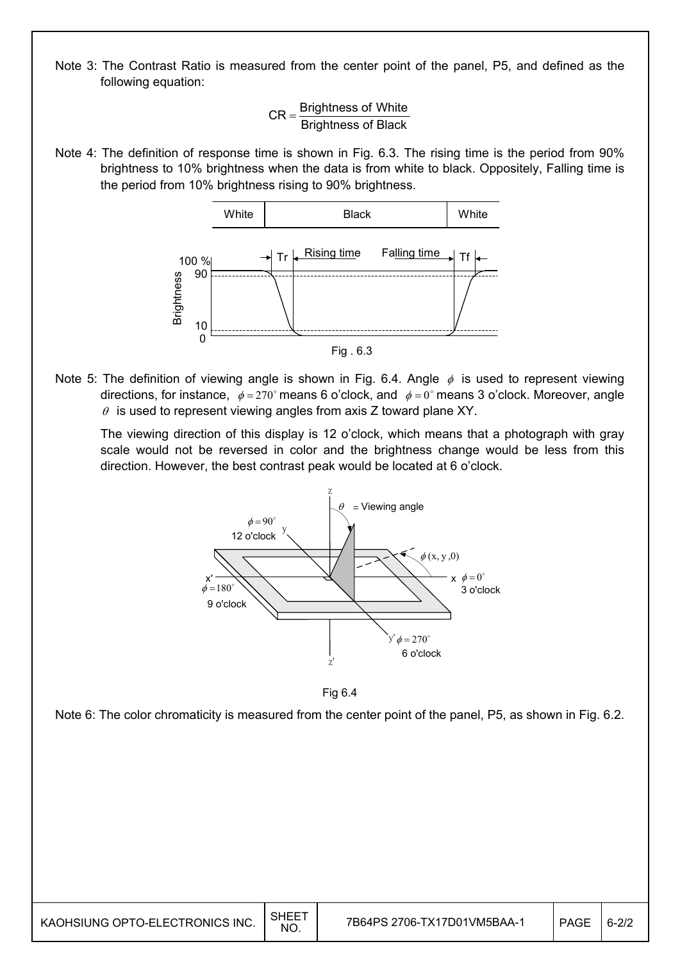Note 3: The Contrast Ratio is measured from the center point of the panel, P5, and defined as the following equation:

> Brightness of Black  $CR =$ Brightness of White

Note 4: The definition of response time is shown in Fig. 6.3. The rising time is the period from 90% brightness to 10% brightness when the data is from white to black. Oppositely, Falling time is the period from 10% brightness rising to 90% brightness.



Note 5: The definition of viewing angle is shown in Fig. 6.4. Angle  $\phi$  is used to represent viewing directions, for instance,  $\phi = 270^\circ$  means 6 o'clock, and  $\phi = 0^\circ$  means 3 o'clock. Moreover, angle  $\theta$  is used to represent viewing angles from axis Z toward plane XY.

 The viewing direction of this display is 12 o'clock, which means that a photograph with gray scale would not be reversed in color and the brightness change would be less from this direction. However, the best contrast peak would be located at 6 o'clock.



Fig 6.4

Note 6: The color chromaticity is measured from the center point of the panel, P5, as shown in Fig. 6.2.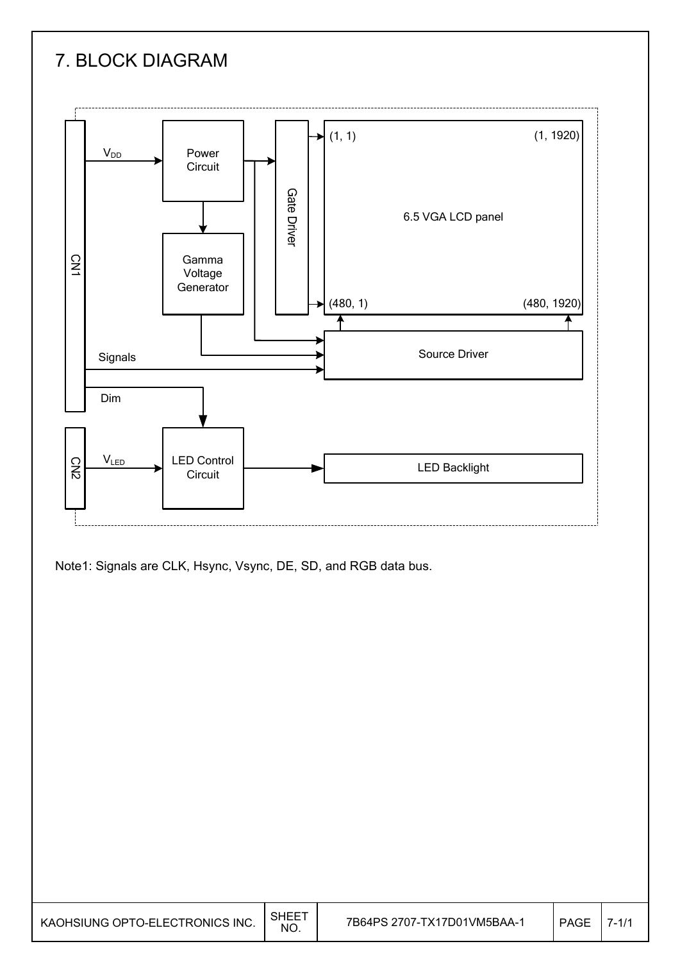## 7. BLOCK DIAGRAM



Note1: Signals are CLK, Hsync, Vsync, DE, SD, and RGB data bus.

| KAOHSIUNG OPTO-ELECTRONICS INC. | SHEE <sup>.</sup><br><b>NO</b> | 7B64PS 2707-TX17D01VM5BAA-1 | PAGE |  |
|---------------------------------|--------------------------------|-----------------------------|------|--|
|---------------------------------|--------------------------------|-----------------------------|------|--|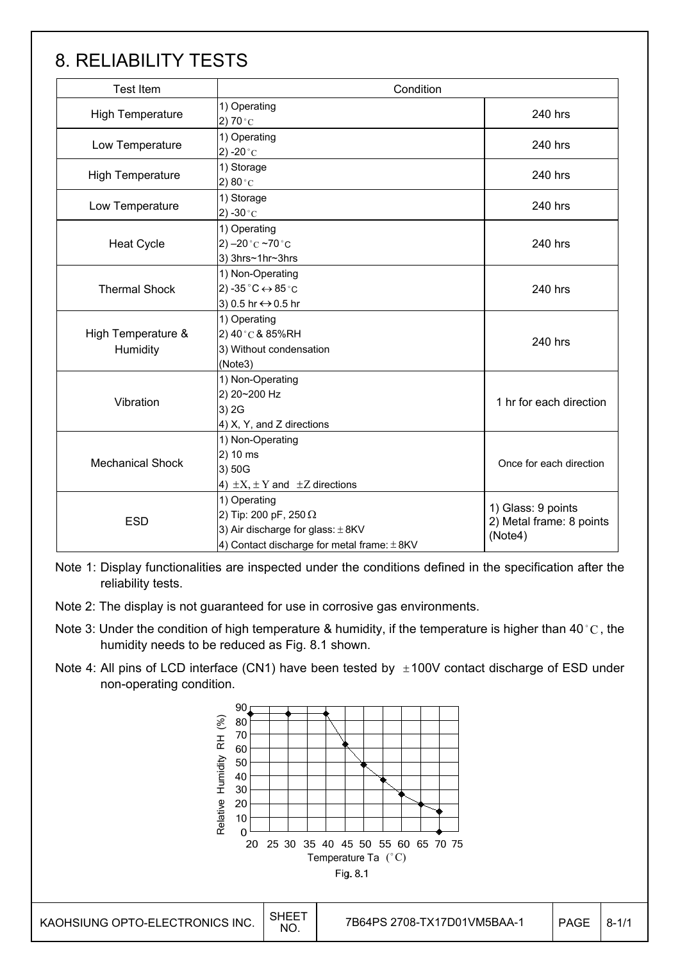## 8. RELIABILITY TESTS

| <b>Test Item</b>                                                                                                                                       | Condition                                                                                       |                                                           |  |
|--------------------------------------------------------------------------------------------------------------------------------------------------------|-------------------------------------------------------------------------------------------------|-----------------------------------------------------------|--|
| <b>High Temperature</b>                                                                                                                                | 1) Operating<br>2) $70^{\circ}$ C                                                               | 240 hrs                                                   |  |
| 1) Operating<br>Low Temperature<br>2) -20 $^{\circ}$ C                                                                                                 |                                                                                                 | 240 hrs                                                   |  |
| <b>High Temperature</b>                                                                                                                                | 1) Storage<br>2) 80 $^{\circ}$ C                                                                | 240 hrs                                                   |  |
| Low Temperature                                                                                                                                        | 1) Storage<br>2) -30 $^{\circ}$ C                                                               | 240 hrs                                                   |  |
| <b>Heat Cycle</b>                                                                                                                                      | 1) Operating<br>2) $-20$ °C $-70$ °C<br>3) 3hrs~1hr~3hrs                                        |                                                           |  |
| <b>Thermal Shock</b>                                                                                                                                   | 1) Non-Operating<br>2) -35 $^{\circ}$ C $\leftrightarrow$ 85 $^{\circ}$ C<br>3) 0.5 hr ↔ 0.5 hr | 240 hrs                                                   |  |
| High Temperature &<br>Humidity                                                                                                                         | 1) Operating<br>2) 40°C & 85%RH<br>3) Without condensation<br>(Note3)                           | 240 hrs                                                   |  |
| Vibration                                                                                                                                              | 1) Non-Operating<br>2) 20~200 Hz<br>3) 2G<br>4) X, Y, and Z directions                          | 1 hr for each direction                                   |  |
| 1) Non-Operating<br>2) 10 ms<br><b>Mechanical Shock</b><br>3) 50G<br>4) $\pm X$ , $\pm Y$ and $\pm Z$ directions                                       |                                                                                                 | Once for each direction                                   |  |
| 1) Operating<br>2) Tip: 200 pF, 250 $\Omega$<br><b>ESD</b><br>3) Air discharge for glass: $\pm$ 8KV<br>4) Contact discharge for metal frame: $\pm$ 8KV |                                                                                                 | 1) Glass: 9 points<br>2) Metal frame: 8 points<br>(Note4) |  |

Note 1: Display functionalities are inspected under the conditions defined in the specification after the reliability tests.

- Note 2: The display is not guaranteed for use in corrosive gas environments.
- Note 3: Under the condition of high temperature & humidity, if the temperature is higher than 40 °C, the humidity needs to be reduced as Fig. 8.1 shown.
- Note 4: All pins of LCD interface (CN1) have been tested by  $\pm 100V$  contact discharge of ESD under non-operating condition.

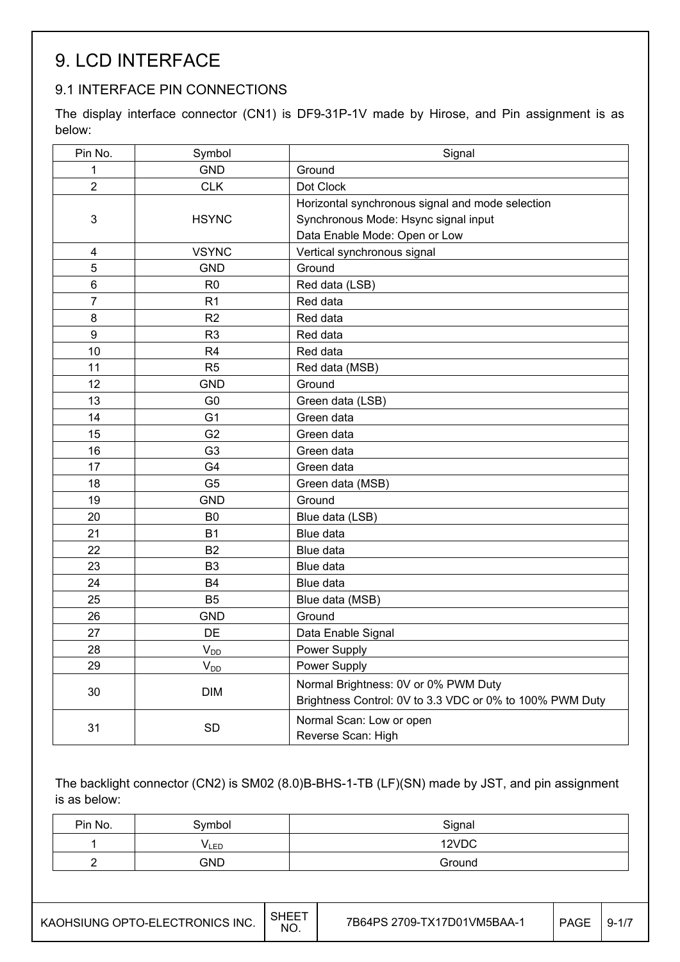## 9. LCD INTERFACE

### 9.1 INTERFACE PIN CONNECTIONS

The display interface connector (CN1) is DF9-31P-1V made by Hirose, and Pin assignment is as below:

| Pin No.          | Symbol         | Signal                                                                                           |
|------------------|----------------|--------------------------------------------------------------------------------------------------|
| 1                | <b>GND</b>     | Ground                                                                                           |
| $\overline{2}$   | <b>CLK</b>     | Dot Clock                                                                                        |
|                  |                | Horizontal synchronous signal and mode selection                                                 |
| $\mathbf{3}$     | <b>HSYNC</b>   | Synchronous Mode: Hsync signal input                                                             |
|                  |                | Data Enable Mode: Open or Low                                                                    |
| 4                | <b>VSYNC</b>   | Vertical synchronous signal                                                                      |
| 5                | <b>GND</b>     | Ground                                                                                           |
| 6                | R <sub>0</sub> | Red data (LSB)                                                                                   |
| $\overline{7}$   | R <sub>1</sub> | Red data                                                                                         |
| 8                | R <sub>2</sub> | Red data                                                                                         |
| $\boldsymbol{9}$ | R <sub>3</sub> | Red data                                                                                         |
| 10               | R <sub>4</sub> | Red data                                                                                         |
| 11               | R <sub>5</sub> | Red data (MSB)                                                                                   |
| 12               | <b>GND</b>     | Ground                                                                                           |
| 13               | G <sub>0</sub> | Green data (LSB)                                                                                 |
| 14               | G <sub>1</sub> | Green data                                                                                       |
| 15               | G <sub>2</sub> | Green data                                                                                       |
| 16               | G <sub>3</sub> | Green data                                                                                       |
| 17               | G <sub>4</sub> | Green data                                                                                       |
| 18               | G <sub>5</sub> | Green data (MSB)                                                                                 |
| 19               | <b>GND</b>     | Ground                                                                                           |
| 20               | B <sub>0</sub> | Blue data (LSB)                                                                                  |
| 21               | <b>B1</b>      | Blue data                                                                                        |
| 22               | <b>B2</b>      | Blue data                                                                                        |
| 23               | B <sub>3</sub> | Blue data                                                                                        |
| 24               | <b>B4</b>      | Blue data                                                                                        |
| 25               | B <sub>5</sub> | Blue data (MSB)                                                                                  |
| 26               | <b>GND</b>     | Ground                                                                                           |
| 27               | DE             | Data Enable Signal                                                                               |
| 28               | $V_{DD}$       | Power Supply                                                                                     |
| 29               | $V_{DD}$       | Power Supply                                                                                     |
| 30               | <b>DIM</b>     | Normal Brightness: 0V or 0% PWM Duty<br>Brightness Control: 0V to 3.3 VDC or 0% to 100% PWM Duty |
| 31               | SD             | Normal Scan: Low or open<br>Reverse Scan: High                                                   |

The backlight connector (CN2) is SM02 (8.0)B-BHS-1-TB (LF)(SN) made by JST, and pin assignment is as below:

| Pin No. | Symbol       | Signal |
|---------|--------------|--------|
|         | <b>V</b> LED | 12VDC  |
|         | <b>GND</b>   | Ground |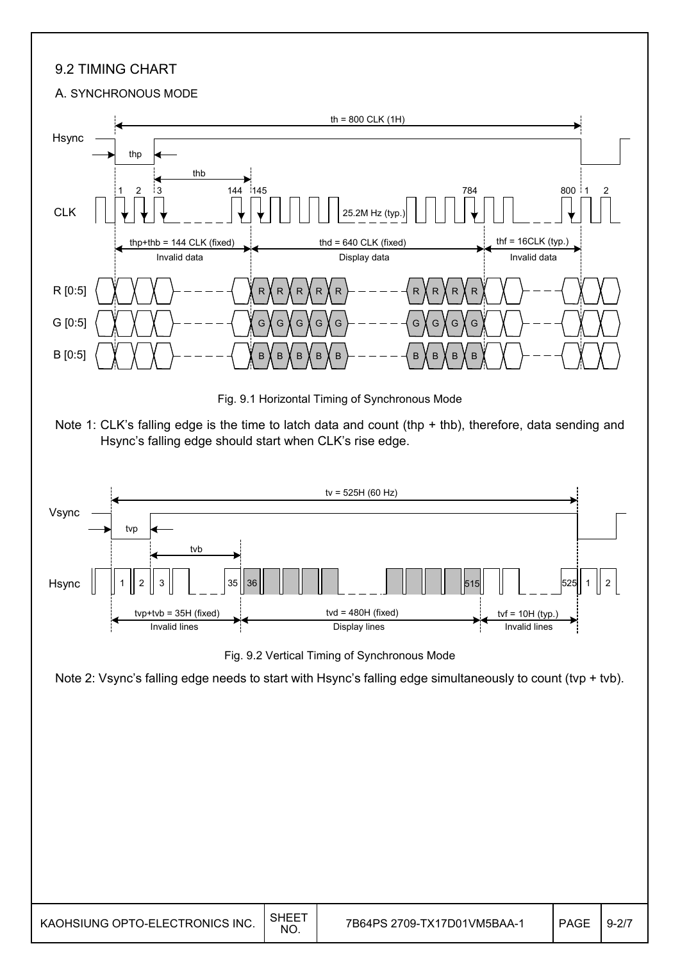### 9.2 TIMING CHART

#### A. SYNCHRONOUS MODE

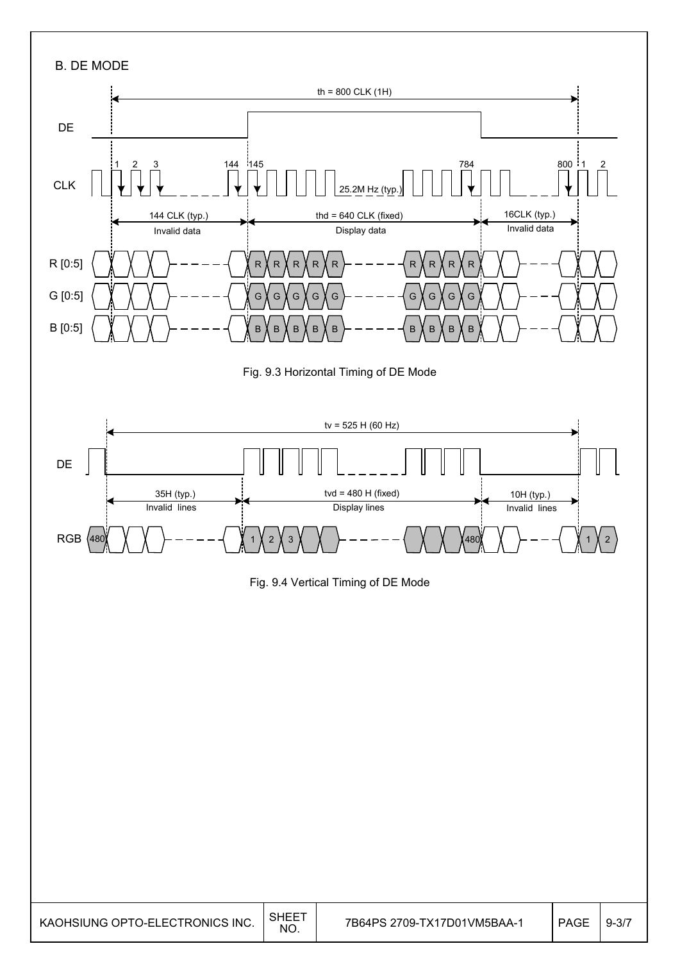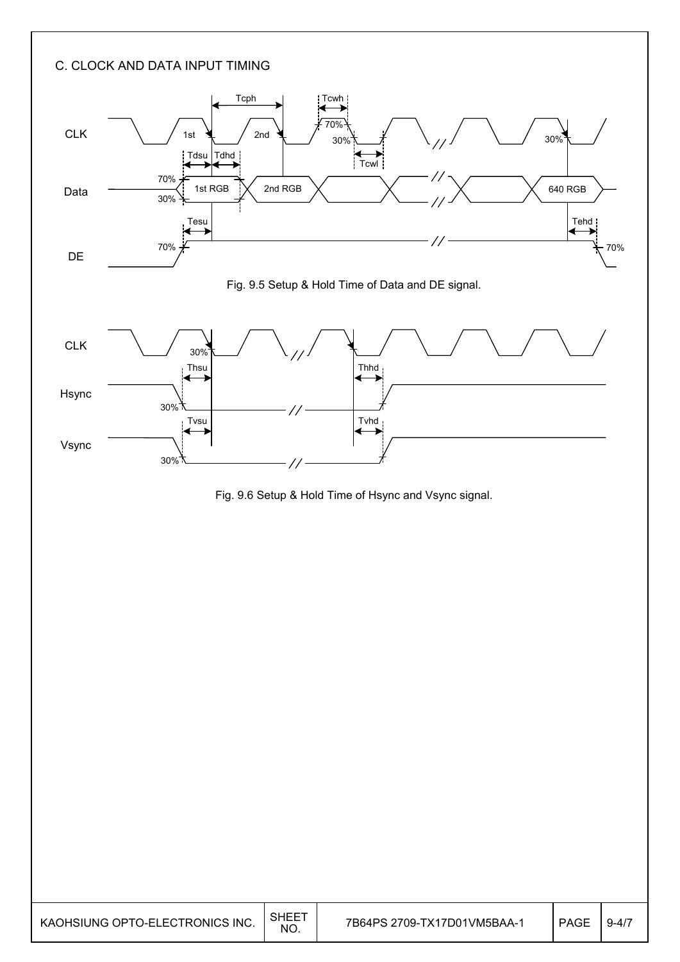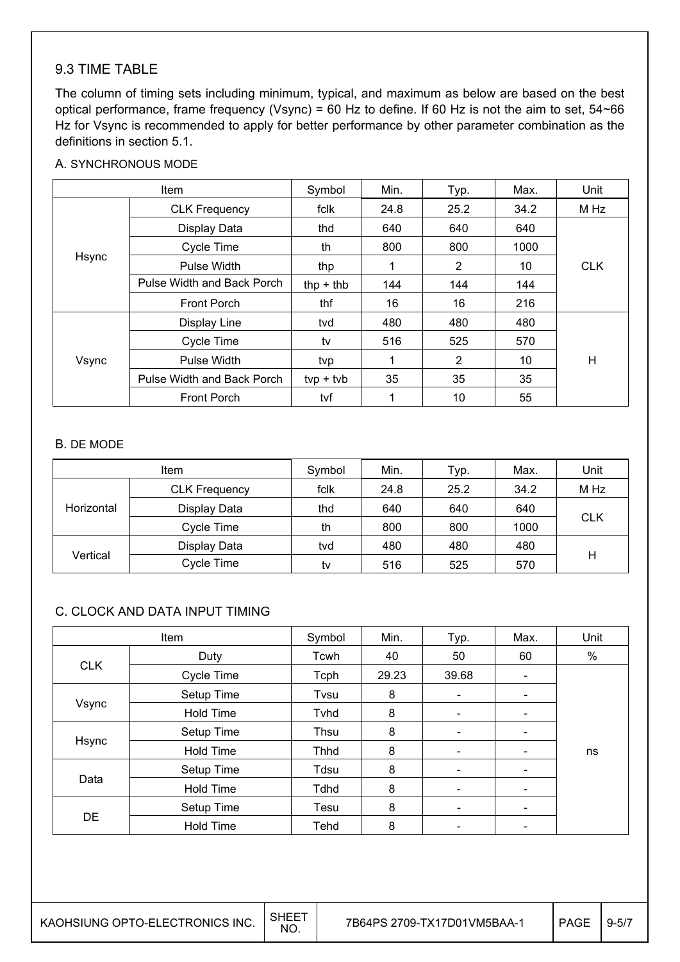#### 9.3 TIME TABLE

The column of timing sets including minimum, typical, and maximum as below are based on the best optical performance, frame frequency (Vsync) = 60 Hz to define. If 60 Hz is not the aim to set, 54~66 Hz for Vsync is recommended to apply for better performance by other parameter combination as the definitions in section 5.1.

#### A. SYNCHRONOUS MODE

| Item  |                            | Symbol      | Min. | Typ. | Max. | Unit       |
|-------|----------------------------|-------------|------|------|------|------------|
|       | <b>CLK Frequency</b>       | fclk        | 24.8 | 25.2 | 34.2 | M Hz       |
|       | Display Data               | thd         | 640  | 640  | 640  |            |
|       | Cycle Time                 | th          | 800  | 800  | 1000 |            |
| Hsync | Pulse Width                | thp         | 1    | 2    | 10   | <b>CLK</b> |
|       | Pulse Width and Back Porch | thp $+$ thb | 144  | 144  | 144  |            |
|       | <b>Front Porch</b>         | thf         | 16   | 16   | 216  |            |
|       | Display Line               | tvd         | 480  | 480  | 480  |            |
|       | Cycle Time                 | tv          | 516  | 525  | 570  |            |
| Vsync | Pulse Width                | tvp         | 1    | 2    | 10   | H          |
|       | Pulse Width and Back Porch | $typ + tvb$ | 35   | 35   | 35   |            |
|       | <b>Front Porch</b>         | tvf         | 1    | 10   | 55   |            |

#### B. DE MODE

| <b>Item</b> |                      | Symbol | Min. | Typ. | Max. | Unit       |
|-------------|----------------------|--------|------|------|------|------------|
|             | <b>CLK Frequency</b> | fclk   | 24.8 | 25.2 | 34.2 | M Hz       |
| Horizontal  | Display Data         | thd    | 640  | 640  | 640  |            |
|             | Cycle Time           | th     | 800  | 800  | 1000 | <b>CLK</b> |
|             | Display Data         | tvd    | 480  | 480  | 480  |            |
| Vertical    | Cycle Time           | tv     | 516  | 525  | 570  | Η          |

#### C. CLOCK AND DATA INPUT TIMING

| Item       |                  | Symbol      | Min.  | Typ.                     | Max.                     | Unit |
|------------|------------------|-------------|-------|--------------------------|--------------------------|------|
|            | Duty             | Tcwh        | 40    | 50                       | 60                       | $\%$ |
| <b>CLK</b> | Cycle Time       | Tcph        | 29.23 | 39.68                    | $\overline{\phantom{a}}$ |      |
|            | Setup Time       | Tvsu        | 8     | $\overline{\phantom{a}}$ |                          |      |
| Vsync      | <b>Hold Time</b> | Tyhd        | 8     | $\overline{\phantom{a}}$ | -                        |      |
|            | Setup Time       | Thsu        | 8     | $\overline{\phantom{a}}$ | -                        |      |
| Hsync      | <b>Hold Time</b> | <b>Thhd</b> | 8     | $\overline{\phantom{a}}$ |                          | ns   |
|            | Setup Time       | Tdsu        | 8     | $\overline{\phantom{a}}$ | $\overline{\phantom{0}}$ |      |
| Data       | <b>Hold Time</b> | <b>Tdhd</b> | 8     | $\overline{\phantom{a}}$ | -                        |      |
|            | Setup Time       | Tesu        | 8     | $\overline{\phantom{a}}$ | -                        |      |
| DE         | <b>Hold Time</b> | Tehd        | 8     |                          |                          |      |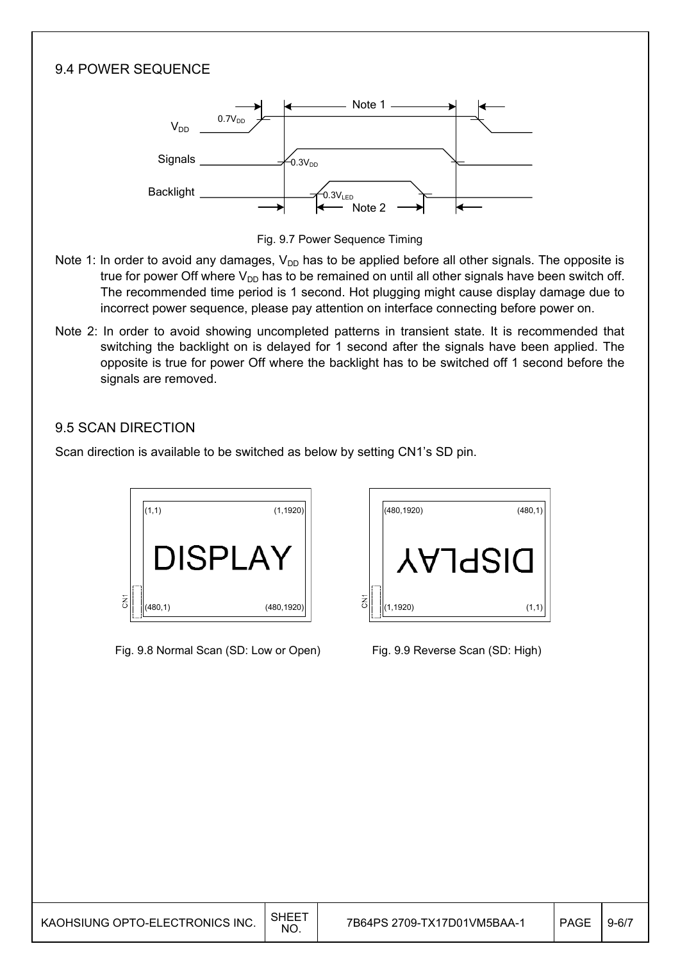

| KAOHSIUNG OPTO-ELECTRONICS INC. | SHEE<br><b>NO</b> | 7B64PS 2709-TX17D01VM5BAA- | PAGE | $19 - 67$ |
|---------------------------------|-------------------|----------------------------|------|-----------|
|---------------------------------|-------------------|----------------------------|------|-----------|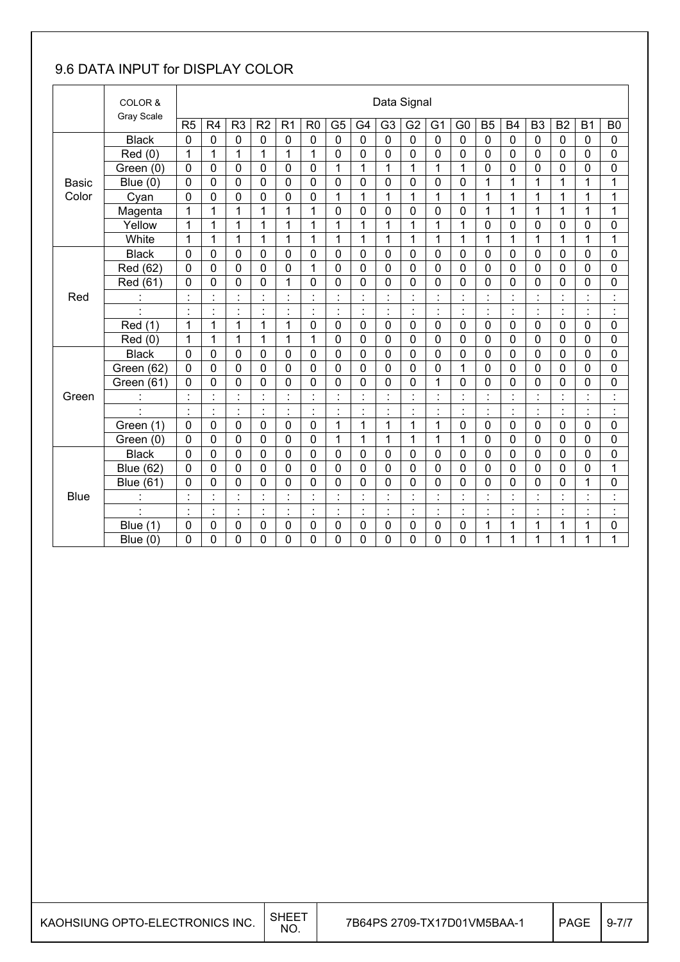### 9.6 DATA INPUT for DISPLAY COLOR

|              | COLOR &          |                | Data Signal    |                                |                |                           |                |                |                      |                      |                |                |                                  |                |                |                      |                |                |                    |
|--------------|------------------|----------------|----------------|--------------------------------|----------------|---------------------------|----------------|----------------|----------------------|----------------------|----------------|----------------|----------------------------------|----------------|----------------|----------------------|----------------|----------------|--------------------|
|              | Gray Scale       | R <sub>5</sub> | R4             | R <sub>3</sub>                 | R <sub>2</sub> | R <sub>1</sub>            | R <sub>0</sub> | G <sub>5</sub> | G <sub>4</sub>       | G <sub>3</sub>       | G <sub>2</sub> | G <sub>1</sub> | G <sub>0</sub>                   | B <sub>5</sub> | <b>B4</b>      | B <sub>3</sub>       | <b>B2</b>      | <b>B1</b>      | B <sub>0</sub>     |
|              | <b>Black</b>     | $\mathbf 0$    | 0              | 0                              | $\mathbf 0$    | 0                         | $\mathbf 0$    | $\mathbf 0$    | $\mathbf 0$          | $\overline{0}$       | $\mathbf 0$    | $\overline{0}$ | 0                                | $\mathbf 0$    | $\overline{0}$ | $\mathbf 0$          | 0              | $\mathbf 0$    | $\mathbf 0$        |
|              | Red (0)          | 1              | 1              | 1                              | 1              | 1                         | 1              | $\mathbf 0$    | 0                    | 0                    | 0              | 0              | 0                                | $\mathbf 0$    | 0              | $\mathbf 0$          | 0              | 0              | 0                  |
|              | Green (0)        | $\mathbf 0$    | 0              | 0                              | 0              | $\mathbf 0$               | $\mathbf 0$    | $\mathbf{1}$   | $\mathbf{1}$         | 1                    | 1              | 1              | 1                                | $\mathbf 0$    | 0              | $\mathbf 0$          | 0              | 0              | 0                  |
| <b>Basic</b> | Blue $(0)$       | 0              | 0              | 0                              | 0              | $\mathbf 0$               | $\mathbf 0$    | $\mathbf 0$    | 0                    | 0                    | $\mathbf 0$    | 0              | 0                                | 1              | 1              | $\mathbf{1}$         | 1              | 1              | 1                  |
| Color        | Cyan             | $\overline{0}$ | 0              | $\mathbf 0$                    | 0              | 0                         | $\mathbf 0$    | $\mathbf{1}$   | $\mathbf{1}$         | 1                    | 1              | 1              | 1                                | 1              | 1              | $\mathbf{1}$         | 1              | 1              | 1                  |
|              | Magenta          | 1              | 1              | 1                              | 1              | 1                         | 1              | $\mathbf 0$    | $\mathbf 0$          | 0                    | $\mathbf 0$    | 0              | 0                                | 1              | $\mathbf{1}$   | 1                    | 1              | 1              | 1                  |
|              | Yellow           | 1              | 1              | 1                              | 1              | 1                         | 1              | $\mathbf{1}$   | $\mathbf{1}$         | 1                    | 1              | 1              | 1                                | $\mathbf 0$    | 0              | $\mathbf 0$          | 0              | 0              | 0                  |
|              | White            | 1              | 1              | 1                              | 1              | 1                         | 1              | 1              | 1                    | 1                    | 1              | 1              | 1                                | 1              | 1              | 1                    | 1              | 1              | 1                  |
|              | <b>Black</b>     | 0              | 0              | 0                              | 0              | 0                         | $\mathbf 0$    | $\mathbf 0$    | 0                    | 0                    | 0              | 0              | 0                                | $\mathbf 0$    | 0              | $\mathbf 0$          | 0              | 0              | 0                  |
|              | Red (62)         | 0              | 0              | 0                              | 0              | 0                         | 1              | $\mathbf 0$    | $\mathbf 0$          | 0                    | $\mathbf 0$    | 0              | $\overline{0}$                   | $\mathbf 0$    | 0              | $\mathbf 0$          | 0              | 0              | 0                  |
|              | Red (61)         | 0              | 0              | 0                              | 0              | 1                         | $\mathbf 0$    | 0              | $\mathbf 0$          | 0                    | $\mathbf 0$    | 0              | 0                                | $\mathbf 0$    | 0              | $\mathbf 0$          | 0              | 0              | 0                  |
| Red          |                  | $\blacksquare$ | $\blacksquare$ | $\blacksquare$                 | $\cdot$        | $\cdot$<br>÷.             |                | $\blacksquare$ | $\cdot$              |                      |                |                | $\blacksquare$<br>÷.             | $\cdot$        |                |                      |                |                | Ì                  |
|              |                  | Ì.             | Ì.             | $\blacksquare$                 | $\ddot{\cdot}$ | İ                         | $\blacksquare$ | Ì.             | $\ddot{\phantom{a}}$ | $\ddot{\phantom{a}}$ | $\blacksquare$ | Ì.             | $\ddot{\cdot}$                   | Ì,             | $\cdot$        | $\ddot{\phantom{a}}$ | ł,             | $\cdot$        | $\ddot{\cdot}$     |
|              | Red (1)          | 1              | 1              | 1                              | 1              | 1                         | $\mathbf 0$    | $\mathbf 0$    | $\mathbf 0$          | 0                    | $\mathbf 0$    | $\mathbf 0$    | 0                                | $\mathbf 0$    | $\mathbf 0$    | $\mathbf 0$          | $\mathbf 0$    | 0              | 0                  |
|              | Red (0)          | 1              | 1              | 1                              | 1              | 1                         | 1              | $\mathbf 0$    | $\mathbf 0$          | 0                    | $\mathbf 0$    | 0              | $\mathbf 0$                      | $\mathbf 0$    | $\mathbf 0$    | $\mathbf 0$          | 0              | $\mathbf 0$    | $\overline{0}$     |
|              | <b>Black</b>     | 0              | 0              | 0                              | 0              | 0                         | $\mathbf 0$    | $\mathbf 0$    | $\mathbf 0$          | 0                    | 0              | 0              | 0                                | $\mathbf 0$    | 0              | $\mathbf 0$          | 0              | 0              | 0                  |
|              | Green (62)       | $\overline{0}$ | 0              | 0                              | 0              | $\mathbf 0$               | $\mathbf 0$    | $\overline{0}$ | $\mathbf 0$          | 0                    | $\mathbf 0$    | 0              | $\mathbf{1}$                     | $\mathbf 0$    | $\overline{0}$ | $\overline{0}$       | 0              | $\overline{0}$ | 0                  |
|              | Green (61)       | $\mathbf 0$    | 0              | 0                              | 0              | 0                         | $\mathbf 0$    | $\mathbf 0$    | 0                    | 0                    | 0              | 1              | 0                                | $\mathbf 0$    | 0              | $\mathbf 0$          | 0              | 0              | $\mathbf 0$        |
| Green        |                  |                | Ì.             | $\blacksquare$<br>$\mathbf{r}$ | ä,             | $\cdot$<br>$\blacksquare$ |                | ÷,             | $\cdot$              |                      |                | ä,             | $\blacksquare$<br>$\blacksquare$ | İ              |                |                      |                |                | Ì                  |
|              |                  | $\blacksquare$ | $\cdot$        | $\blacksquare$<br>٠            | $\cdot$        | $\cdot$<br>$\cdot$        | $\blacksquare$ | Ì.             | $\cdot$              | $\blacksquare$       | $\blacksquare$ | $\blacksquare$ | $\blacksquare$<br>٠              | $\blacksquare$ |                | $\ddot{\phantom{a}}$ | $\blacksquare$ | $\cdot$        | $\cdot$<br>$\cdot$ |
|              | Green (1)        | $\mathbf 0$    | 0              | 0                              | $\mathbf 0$    | $\mathbf 0$               | $\mathbf 0$    | 1              | $\mathbf{1}$         | 1                    | 1              | 1              | 0                                | $\mathbf 0$    | 0              | $\mathbf 0$          | $\mathbf 0$    | $\mathbf 0$    | 0                  |
|              | Green (0)        | 0              | 0              | 0                              | 0              | 0                         | $\mathbf 0$    | 1              | 1                    | 1                    | 1              | 1              | 1                                | $\mathbf 0$    | 0              | $\mathbf 0$          | 0              | 0              | 0                  |
|              | <b>Black</b>     | 0              | 0              | $\mathbf 0$                    | 0              | 0                         | $\mathbf 0$    | $\mathbf 0$    | $\mathbf 0$          | 0                    | $\mathbf 0$    | 0              | 0                                | $\mathbf 0$    | 0              | $\mathbf 0$          | 0              | $\mathbf 0$    | 0                  |
|              | <b>Blue (62)</b> | $\overline{0}$ | 0              | 0                              | 0              | 0                         | $\mathbf 0$    | $\overline{0}$ | $\mathbf 0$          | 0                    | $\overline{0}$ | 0              | $\overline{0}$                   | $\mathbf 0$    | $\overline{0}$ | $\overline{0}$       | 0              | 0              | 1                  |
|              | <b>Blue (61)</b> | 0              | 0              | 0                              | 0              | 0                         | $\mathbf 0$    | 0              | 0                    | 0                    | 0              | 0              | 0                                | $\mathbf 0$    | 0              | 0                    | 0              | 1              | 0                  |
| <b>Blue</b>  | $\blacksquare$   | $\blacksquare$ | $\blacksquare$ | $\blacksquare$                 | $\cdot$        | Ì,                        | $\blacksquare$ | ÷,             | $\blacksquare$       | $\blacksquare$       | $\blacksquare$ | ¥,<br>ä,       | $\blacksquare$<br>$\blacksquare$ | $\blacksquare$ | $\cdot$        | $\blacksquare$       | $\blacksquare$ | $\cdot$        | $\cdot$<br>٠       |
|              | $\blacksquare$   | $\cdot$        | $\blacksquare$ | $\blacksquare$                 | $\cdot$        | $\blacksquare$<br>$\cdot$ | $\blacksquare$ | $\cdot$        | $\blacksquare$       | $\blacksquare$       | $\blacksquare$ | $\blacksquare$ | $\blacksquare$                   | $\blacksquare$ | $\cdot$        | $\blacksquare$       | $\blacksquare$ | $\cdot$        | $\cdot$<br>٠       |
|              | Blue (1)         | $\mathbf 0$    | 0              | 0                              | 0              | 0                         | $\mathbf 0$    | 0              | $\mathbf 0$          | 0                    | $\mathbf 0$    | 0              | 0                                | 1              | 1              | 1                    | 1              | 1              | 0                  |
|              | Blue $(0)$       | 0              | 0              | 0                              | 0              | 0                         | 0              | 0              | 0                    | 0                    | 0              | 0              | 0                                | 1              | 1              | 1                    | 1              | 1              | 1                  |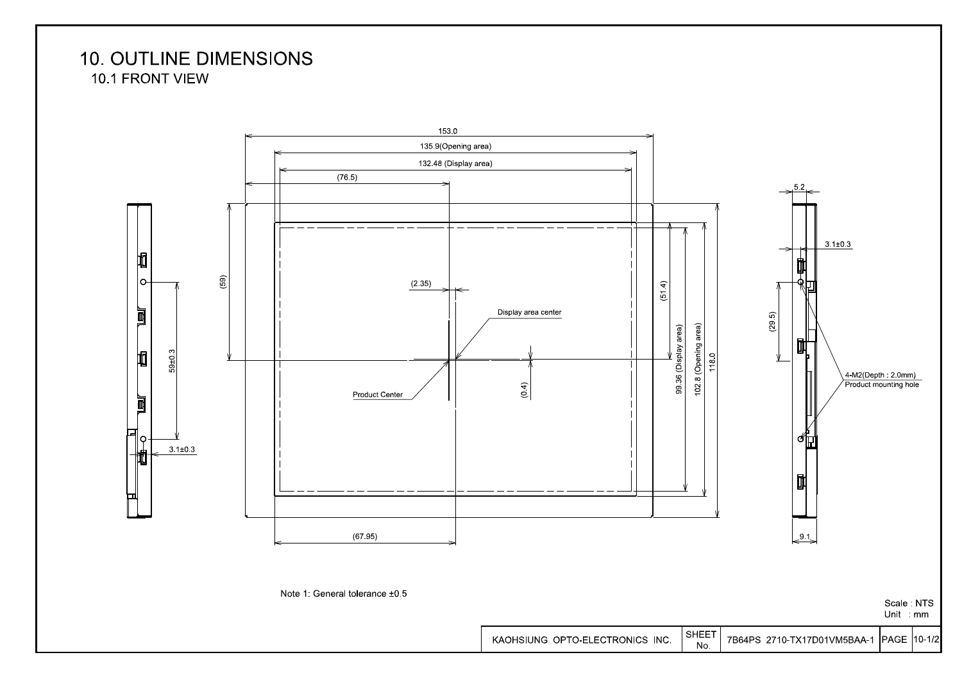**10. OUTLINE DIMENSIONS** 

10.1 FRONT VIEW

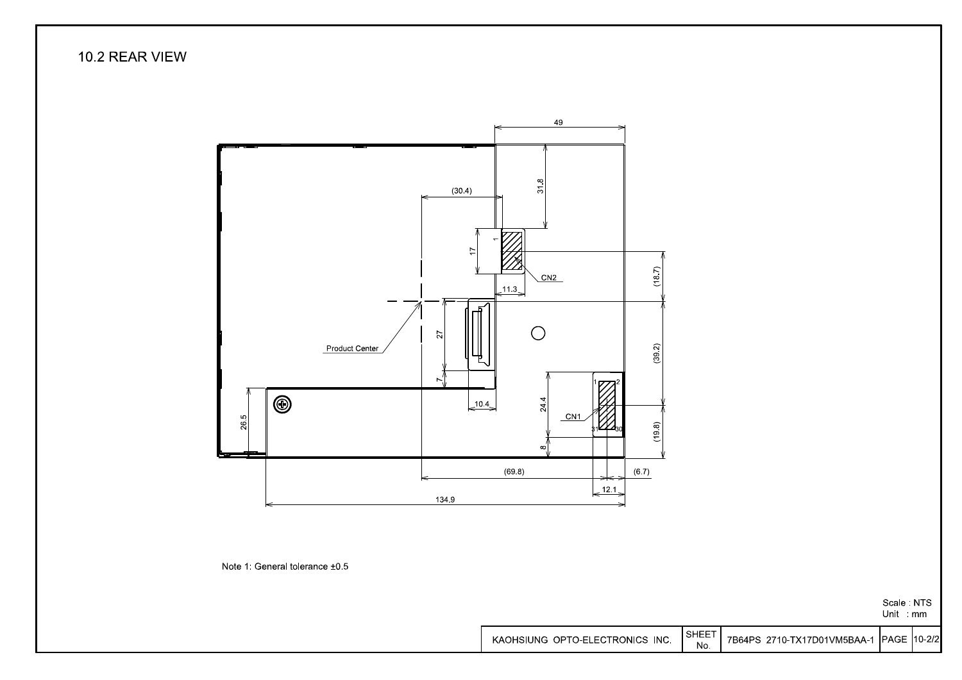10.2 REAR VIEW



Note 1: General tolerance ±0.5

Scale: NTS Unit : mm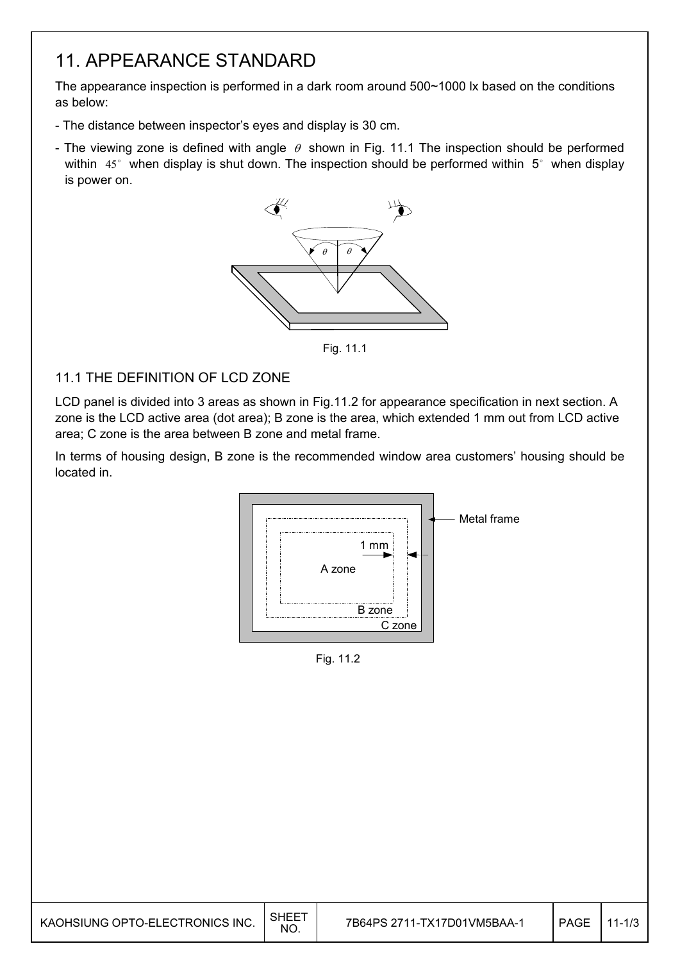## 11. APPEARANCE STANDARD

The appearance inspection is performed in a dark room around 500~1000 lx based on the conditions as below:

- The distance between inspector's eyes and display is 30 cm.
- The viewing zone is defined with angle  $\theta$  shown in Fig. 11.1 The inspection should be performed within  $45^\circ$  when display is shut down. The inspection should be performed within  $5^\circ$  when display is power on.



Fig. 11.1

### 11.1 THE DEFINITION OF LCD ZONE

LCD panel is divided into 3 areas as shown in Fig.11.2 for appearance specification in next section. A zone is the LCD active area (dot area); B zone is the area, which extended 1 mm out from LCD active area; C zone is the area between B zone and metal frame.

In terms of housing design, B zone is the recommended window area customers' housing should be located in.



Fig. 11.2

| KAOHSIUNG OPTO-ELECTRONICS INC. | SHEET<br>NO. | 7B64PS 2711-TX17D01VM5BAA-1 | <b>PAGE</b> | س/ا−י ` |
|---------------------------------|--------------|-----------------------------|-------------|---------|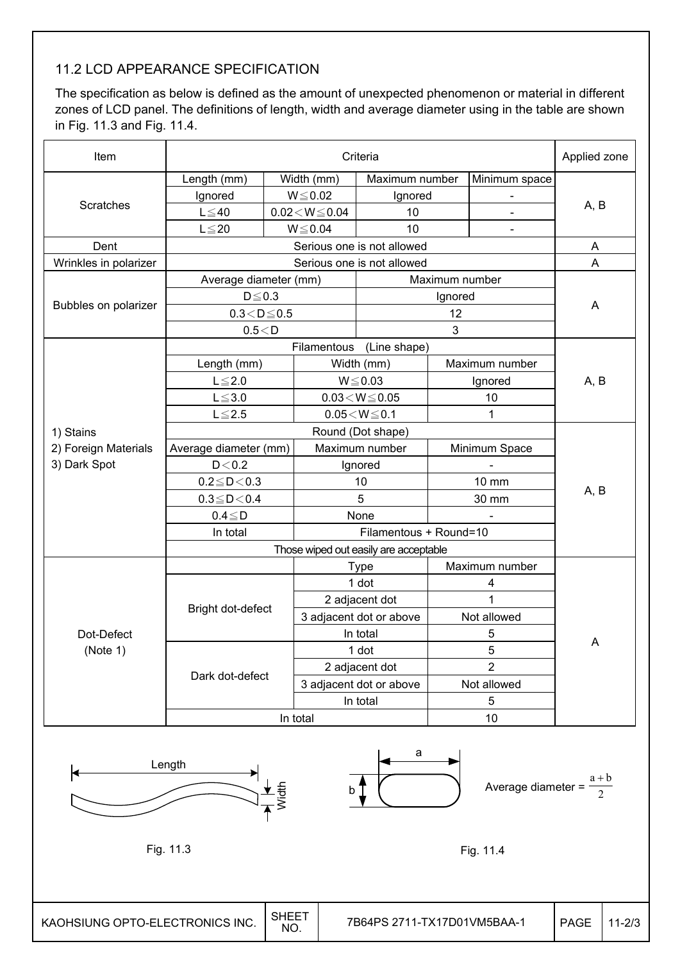### 11.2 LCD APPEARANCE SPECIFICATION

The specification as below is defined as the amount of unexpected phenomenon or material in different zones of LCD panel. The definitions of length, width and average diameter using in the table are shown in Fig. 11.3 and Fig. 11.4.

| Item                            | Criteria               |                     |                                           |                                       |                |                                    | Applied zone |            |
|---------------------------------|------------------------|---------------------|-------------------------------------------|---------------------------------------|----------------|------------------------------------|--------------|------------|
|                                 | Length (mm)            | Width (mm)          |                                           | Maximum number                        |                | Minimum space                      |              |            |
|                                 | Ignored                |                     | $W \le 0.02$                              | Ignored                               |                | $\overline{\phantom{a}}$           |              |            |
| Scratches                       | $L \leq 40$            |                     | $0.02\!<\!W\!\leq\!0.04$                  | 10                                    |                |                                    | A, B         |            |
|                                 | $L \leq 20$            | $W \le 0.04$        |                                           | 10                                    |                | $\overline{\phantom{a}}$           |              |            |
| Dent                            |                        |                     |                                           | Serious one is not allowed            |                |                                    | A            |            |
| Wrinkles in polarizer           |                        |                     |                                           | Serious one is not allowed            |                |                                    | $\mathsf{A}$ |            |
|                                 | Average diameter (mm)  |                     |                                           |                                       | Maximum number |                                    |              |            |
|                                 | $D \le 0.3$            |                     |                                           |                                       | Ignored        |                                    |              |            |
| Bubbles on polarizer            | $0.3\!<\!D\!\leq\!0.5$ |                     |                                           |                                       | 12             |                                    | A            |            |
|                                 | 0.5 < D                |                     |                                           |                                       | 3              |                                    |              |            |
|                                 |                        |                     | Filamentous                               | (Line shape)                          |                |                                    |              |            |
|                                 | Length (mm)            |                     |                                           | Width (mm)                            |                | Maximum number                     |              |            |
|                                 | $L \leq 2.0$           |                     |                                           | $W \le 0.03$                          |                | Ignored                            | A, B         |            |
|                                 | $L \le 3.0$            |                     |                                           | $0.03\!<\!W\!\leq\!0.05$              |                | 10                                 |              |            |
|                                 | $L \le 2.5$            |                     |                                           | $0.05\!<\!W\!\leq\!0.1$               |                | 1                                  |              |            |
| 1) Stains                       |                        |                     |                                           | Round (Dot shape)                     |                |                                    |              |            |
| 2) Foreign Materials            | Average diameter (mm)  |                     |                                           | Maximum number                        |                | Minimum Space                      |              |            |
| 3) Dark Spot                    | D < 0.2                |                     |                                           | Ignored                               |                |                                    |              |            |
|                                 | $0.2 \le D < 0.3$      |                     | 10                                        |                                       | 10 mm          |                                    |              |            |
|                                 | $0.3 \le D < 0.4$      |                     |                                           | 5                                     | 30 mm          |                                    | A, B         |            |
|                                 | $0.4 \leq D$           |                     |                                           | None                                  |                |                                    |              |            |
|                                 | In total               |                     | Filamentous + Round=10                    |                                       |                |                                    |              |            |
|                                 |                        |                     |                                           | Those wiped out easily are acceptable |                |                                    |              |            |
|                                 |                        |                     |                                           | <b>Type</b>                           |                | Maximum number                     |              |            |
|                                 |                        |                     |                                           | 1 dot                                 |                | 4                                  |              |            |
|                                 | Bright dot-defect      |                     | 2 adjacent dot                            |                                       |                | 1                                  |              |            |
|                                 |                        |                     | 3 adjacent dot or above                   |                                       |                | Not allowed                        |              |            |
| Dot-Defect                      |                        |                     |                                           | In total                              |                | 5                                  |              |            |
| (Note 1)                        |                        | 1 dot               |                                           | 5                                     |                | A                                  |              |            |
|                                 |                        |                     |                                           |                                       | $\overline{2}$ |                                    |              |            |
|                                 | Dark dot-defect        |                     | 2 adjacent dot<br>3 adjacent dot or above |                                       |                | Not allowed                        |              |            |
|                                 |                        |                     |                                           | In total                              |                | 5                                  |              |            |
|                                 |                        | In total            |                                           |                                       |                | 10                                 |              |            |
|                                 | Length                 | Width               | $\mathsf{b}$ ]                            | а                                     |                | Average diameter = $\frac{a+b}{2}$ |              |            |
|                                 | Fig. 11.3              |                     |                                           |                                       |                | Fig. 11.4                          |              |            |
| KAOHSIUNG OPTO-ELECTRONICS INC. |                        | <b>SHEET</b><br>NO. |                                           | 7B64PS 2711-TX17D01VM5BAA-1           |                |                                    | <b>PAGE</b>  | $11 - 2/3$ |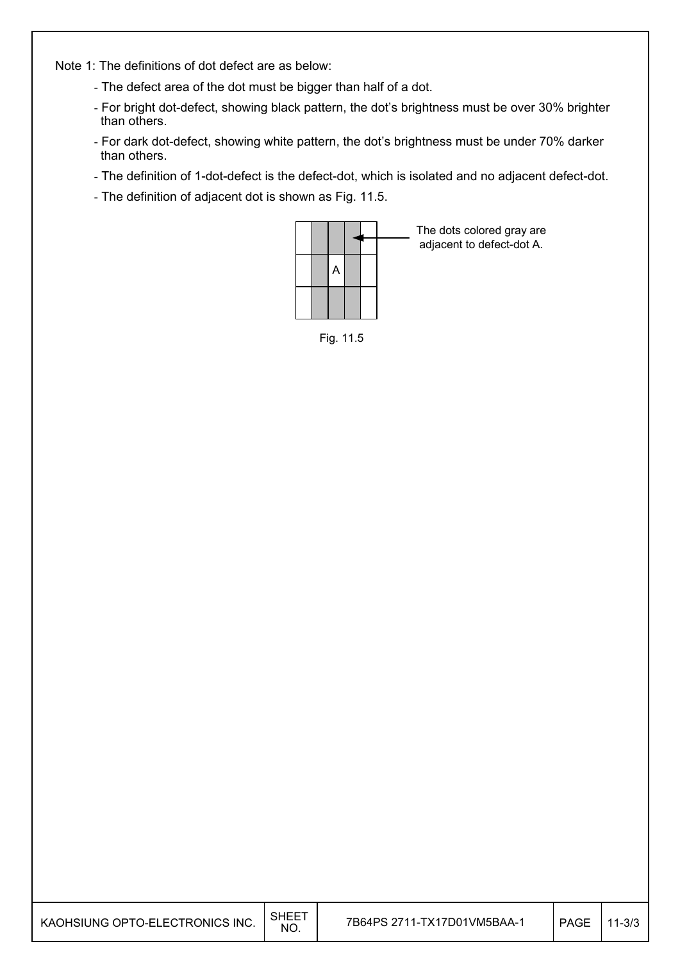Note 1: The definitions of dot defect are as below:

- The defect area of the dot must be bigger than half of a dot.
- For bright dot-defect, showing black pattern, the dot's brightness must be over 30% brighter than others.
- For dark dot-defect, showing white pattern, the dot's brightness must be under 70% darker than others.
- The definition of 1-dot-defect is the defect-dot, which is isolated and no adjacent defect-dot.
- The definition of adjacent dot is shown as Fig. 11.5.



Fig. 11.5

| KAOHSIUNG OPTO-ELECTRONICS INC. | <b>SHEET</b><br>NO. | 7B64PS 2711-TX17D01VM5BAA-1 | <b>PAGE</b> | $11 - 3/3$ |
|---------------------------------|---------------------|-----------------------------|-------------|------------|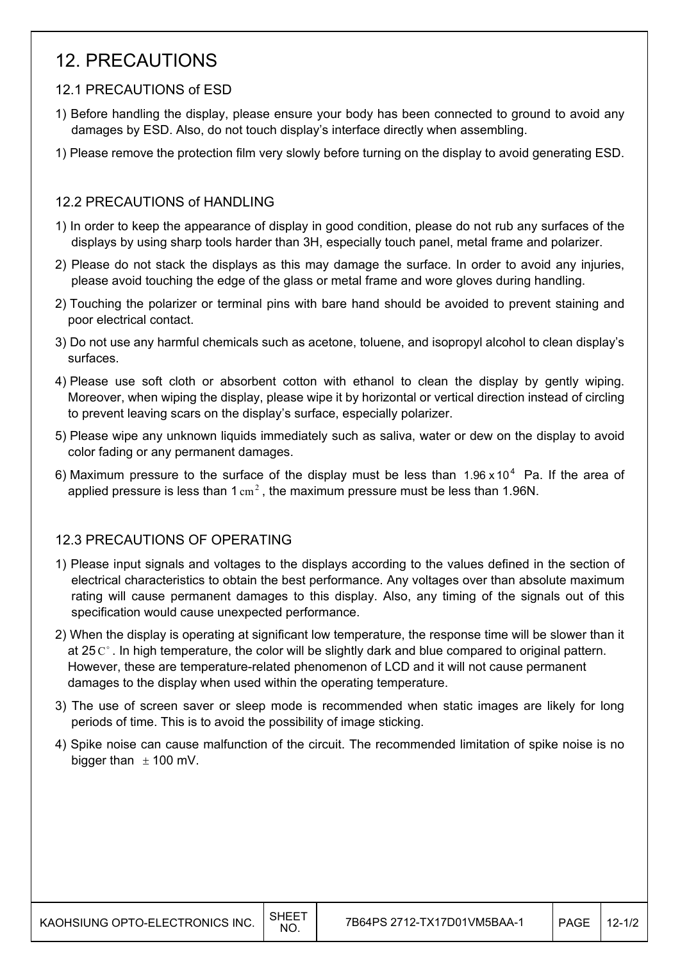## 12. PRECAUTIONS

### 12.1 PRECAUTIONS of ESD

- 1) Before handling the display, please ensure your body has been connected to ground to avoid any damages by ESD. Also, do not touch display's interface directly when assembling.
- 1) Please remove the protection film very slowly before turning on the display to avoid generating ESD.

### 12.2 PRECAUTIONS of HANDLING

- 1) In order to keep the appearance of display in good condition, please do not rub any surfaces of the displays by using sharp tools harder than 3H, especially touch panel, metal frame and polarizer.
- 2) Please do not stack the displays as this may damage the surface. In order to avoid any injuries, please avoid touching the edge of the glass or metal frame and wore gloves during handling.
- 2) Touching the polarizer or terminal pins with bare hand should be avoided to prevent staining and poor electrical contact.
- 3) Do not use any harmful chemicals such as acetone, toluene, and isopropyl alcohol to clean display's surfaces.
- 4) Please use soft cloth or absorbent cotton with ethanol to clean the display by gently wiping. Moreover, when wiping the display, please wipe it by horizontal or vertical direction instead of circling to prevent leaving scars on the display's surface, especially polarizer.
- 5) Please wipe any unknown liquids immediately such as saliva, water or dew on the display to avoid color fading or any permanent damages.
- 6) Maximum pressure to the surface of the display must be less than  $1.96 \times 10^4$  Pa. If the area of applied pressure is less than  $1 \text{ cm}^2$ , the maximum pressure must be less than 1.96N.

### 12.3 PRECAUTIONS OF OPERATING

- 1) Please input signals and voltages to the displays according to the values defined in the section of electrical characteristics to obtain the best performance. Any voltages over than absolute maximum rating will cause permanent damages to this display. Also, any timing of the signals out of this specification would cause unexpected performance.
- 2) When the display is operating at significant low temperature, the response time will be slower than it at 25 $C^{\circ}$ . In high temperature, the color will be slightly dark and blue compared to original pattern. However, these are temperature-related phenomenon of LCD and it will not cause permanent damages to the display when used within the operating temperature.
- 3) The use of screen saver or sleep mode is recommended when static images are likely for long periods of time. This is to avoid the possibility of image sticking.
- 4) Spike noise can cause malfunction of the circuit. The recommended limitation of spike noise is no bigger than  $\pm$  100 mV.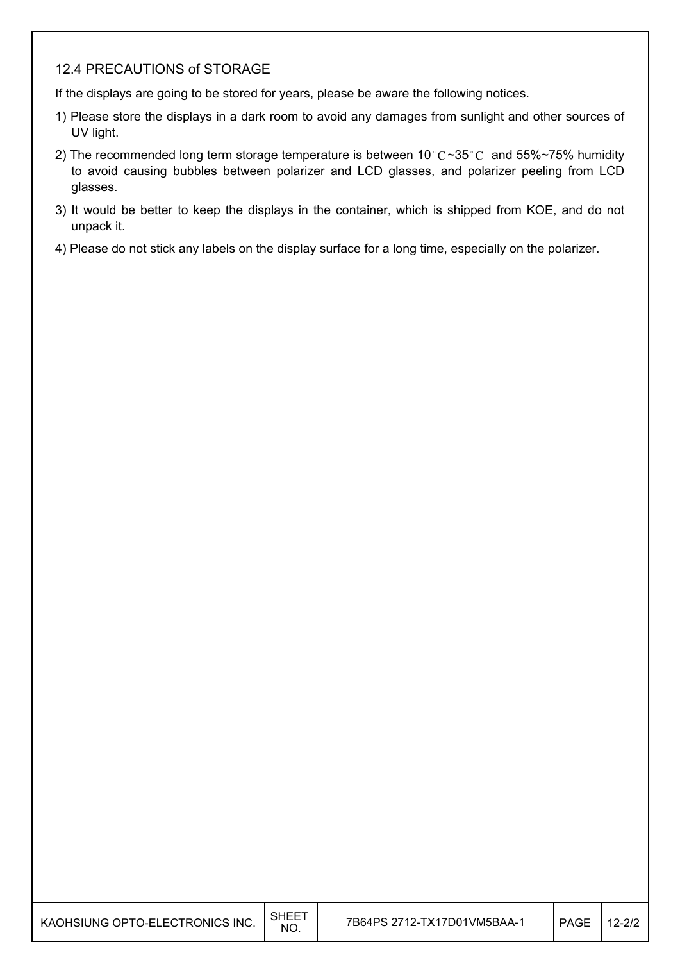#### 12.4 PRECAUTIONS of STORAGE

If the displays are going to be stored for years, please be aware the following notices.

- 1) Please store the displays in a dark room to avoid any damages from sunlight and other sources of UV light.
- 2) The recommended long term storage temperature is between 10 °C ~35 °C and 55% ~75% humidity to avoid causing bubbles between polarizer and LCD glasses, and polarizer peeling from LCD glasses.
- 3) It would be better to keep the displays in the container, which is shipped from KOE, and do not unpack it.
- 4) Please do not stick any labels on the display surface for a long time, especially on the polarizer.

| KAOHSIUNG OPTO-ELECTRONICS INC. | I SHEET<br>NO. | 7Β |
|---------------------------------|----------------|----|
|---------------------------------|----------------|----|